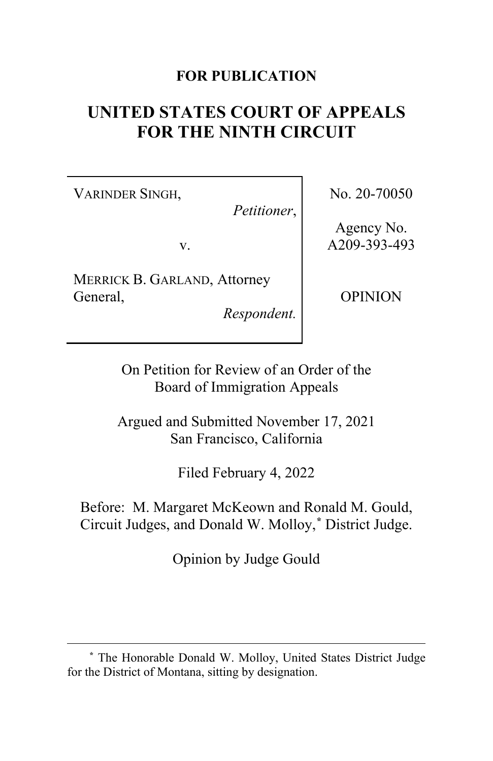# **FOR PUBLICATION**

# **UNITED STATES COURT OF APPEALS FOR THE NINTH CIRCUIT**

VARINDER SINGH,

*Petitioner*,

v.

MERRICK B. GARLAND, Attorney General,

*Respondent.*

No. 20-70050

Agency No. A209-393-493

OPINION

On Petition for Review of an Order of the Board of Immigration Appeals

Argued and Submitted November 17, 2021 San Francisco, California

Filed February 4, 2022

Before: M. Margaret McKeown and Ronald M. Gould, Circuit Judges, and Donald W. Molloy,**[\\*](#page-0-0)** District Judge.

Opinion by Judge Gould

<span id="page-0-0"></span>**<sup>\*</sup>** The Honorable Donald W. Molloy, United States District Judge for the District of Montana, sitting by designation.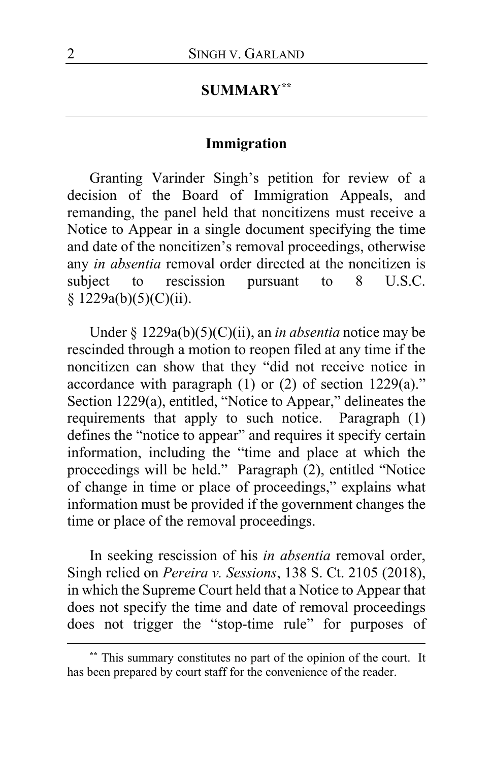## **SUMMARY[\\*\\*](#page-1-0)**

# **Immigration**

Granting Varinder Singh's petition for review of a decision of the Board of Immigration Appeals, and remanding, the panel held that noncitizens must receive a Notice to Appear in a single document specifying the time and date of the noncitizen's removal proceedings, otherwise any *in absentia* removal order directed at the noncitizen is subject to rescission pursuant to 8 U.S.C.  $§ 1229a(b)(5)(C)(ii).$ 

Under § 1229a(b)(5)(C)(ii), an *in absentia* notice may be rescinded through a motion to reopen filed at any time if the noncitizen can show that they "did not receive notice in accordance with paragraph (1) or (2) of section 1229(a)." Section 1229(a), entitled, "Notice to Appear," delineates the requirements that apply to such notice. Paragraph (1) defines the "notice to appear" and requires it specify certain information, including the "time and place at which the proceedings will be held." Paragraph (2), entitled "Notice of change in time or place of proceedings," explains what information must be provided if the government changes the time or place of the removal proceedings.

In seeking rescission of his *in absentia* removal order, Singh relied on *Pereira v. Sessions*, 138 S. Ct. 2105 (2018), in which the Supreme Court held that a Notice to Appear that does not specify the time and date of removal proceedings does not trigger the "stop-time rule" for purposes of

<span id="page-1-0"></span>**<sup>\*\*</sup>** This summary constitutes no part of the opinion of the court. It has been prepared by court staff for the convenience of the reader.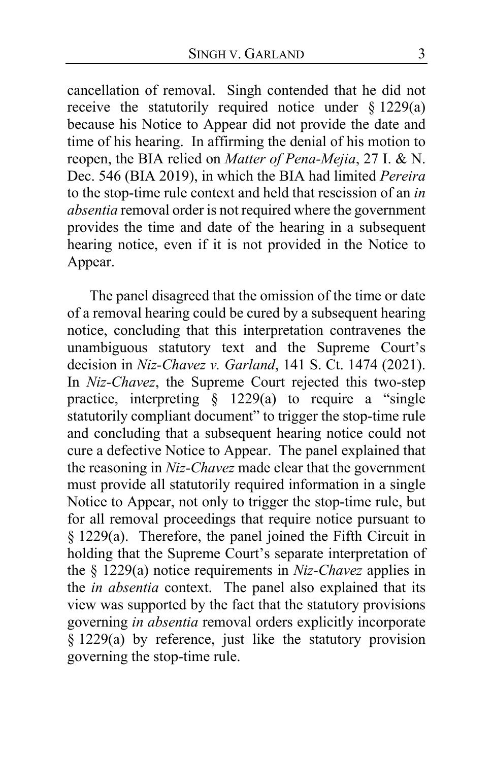cancellation of removal. Singh contended that he did not receive the statutorily required notice under § 1229(a) because his Notice to Appear did not provide the date and time of his hearing. In affirming the denial of his motion to reopen, the BIA relied on *Matter of Pena-Mejia*, 27 I. & N. Dec. 546 (BIA 2019), in which the BIA had limited *Pereira* to the stop-time rule context and held that rescission of an *in absentia* removal order is not required where the government provides the time and date of the hearing in a subsequent hearing notice, even if it is not provided in the Notice to Appear.

The panel disagreed that the omission of the time or date of a removal hearing could be cured by a subsequent hearing notice, concluding that this interpretation contravenes the unambiguous statutory text and the Supreme Court's decision in *Niz-Chavez v. Garland*, 141 S. Ct. 1474 (2021). In *Niz-Chavez*, the Supreme Court rejected this two-step practice, interpreting § 1229(a) to require a "single statutorily compliant document" to trigger the stop-time rule and concluding that a subsequent hearing notice could not cure a defective Notice to Appear. The panel explained that the reasoning in *Niz-Chavez* made clear that the government must provide all statutorily required information in a single Notice to Appear, not only to trigger the stop-time rule, but for all removal proceedings that require notice pursuant to § 1229(a). Therefore, the panel joined the Fifth Circuit in holding that the Supreme Court's separate interpretation of the § 1229(a) notice requirements in *Niz-Chavez* applies in the *in absentia* context. The panel also explained that its view was supported by the fact that the statutory provisions governing *in absentia* removal orders explicitly incorporate § 1229(a) by reference, just like the statutory provision governing the stop-time rule.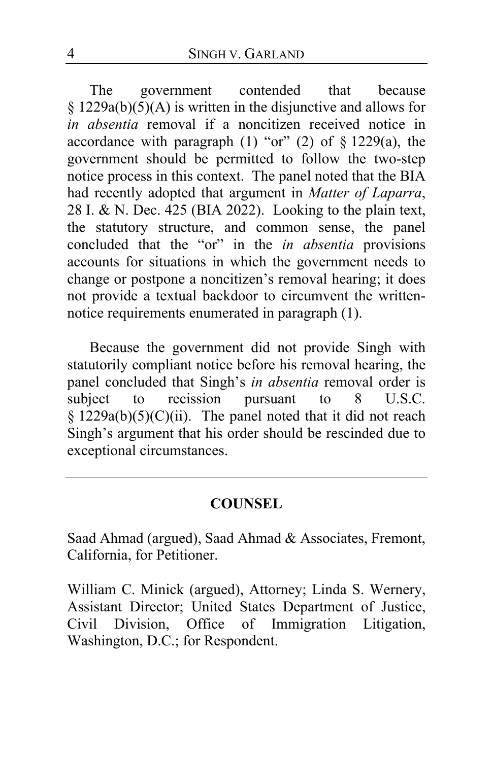The government contended that because § 1229a(b)(5)(A) is written in the disjunctive and allows for *in absentia* removal if a noncitizen received notice in accordance with paragraph  $(1)$  "or"  $(2)$  of  $\S 1229(a)$ , the government should be permitted to follow the two-step notice process in this context. The panel noted that the BIA had recently adopted that argument in *Matter of Laparra*, 28 I. & N. Dec. 425 (BIA 2022). Looking to the plain text, the statutory structure, and common sense, the panel concluded that the "or" in the *in absentia* provisions accounts for situations in which the government needs to change or postpone a noncitizen's removal hearing; it does not provide a textual backdoor to circumvent the writtennotice requirements enumerated in paragraph (1).

Because the government did not provide Singh with statutorily compliant notice before his removal hearing, the panel concluded that Singh's *in absentia* removal order is subject to recission pursuant to 8 U.S.C. subject to recission pursuant to 8 U.S.C. §  $1229a(b)(5)(C)(ii)$ . The panel noted that it did not reach Singh's argument that his order should be rescinded due to exceptional circumstances.

## **COUNSEL**

Saad Ahmad (argued), Saad Ahmad & Associates, Fremont, California, for Petitioner.

William C. Minick (argued), Attorney; Linda S. Wernery, Assistant Director; United States Department of Justice, Civil Division, Office of Immigration Litigation, Washington, D.C.; for Respondent.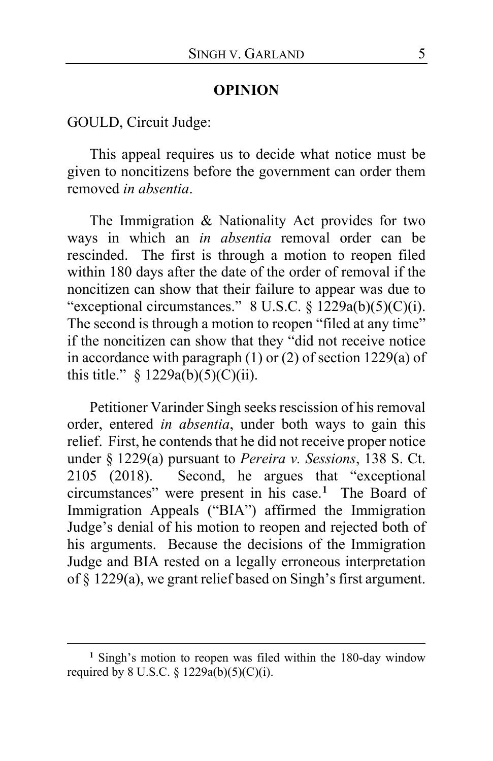#### **OPINION**

GOULD, Circuit Judge:

This appeal requires us to decide what notice must be given to noncitizens before the government can order them removed *in absentia*.

The Immigration & Nationality Act provides for two ways in which an *in absentia* removal order can be rescinded. The first is through a motion to reopen filed within 180 days after the date of the order of removal if the noncitizen can show that their failure to appear was due to "exceptional circumstances." 8 U.S.C. § 1229a(b)(5)(C)(i). The second is through a motion to reopen "filed at any time" if the noncitizen can show that they "did not receive notice in accordance with paragraph (1) or (2) of section 1229(a) of this title."  $\frac{1229a(b)(5)(C)(ii)}{229a(b)(5)(C)(ii)}$ .

Petitioner Varinder Singh seeks rescission of his removal order, entered *in absentia*, under both ways to gain this relief. First, he contends that he did not receive proper notice under § 1229(a) pursuant to *Pereira v. Sessions*, 138 S. Ct. 2105 (2018). Second, he argues that "exceptional circumstances" were present in his case.**[1](#page-4-0)** The Board of Immigration Appeals ("BIA") affirmed the Immigration Judge's denial of his motion to reopen and rejected both of his arguments. Because the decisions of the Immigration Judge and BIA rested on a legally erroneous interpretation of § 1229(a), we grant relief based on Singh's first argument.

<span id="page-4-0"></span>**<sup>1</sup>** Singh's motion to reopen was filed within the 180-day window required by 8 U.S.C. § 1229a(b)(5)(C)(i).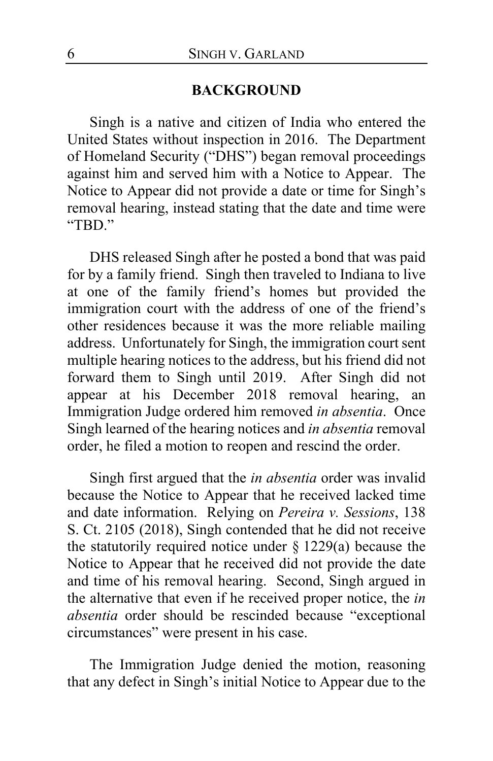#### **BACKGROUND**

Singh is a native and citizen of India who entered the United States without inspection in 2016. The Department of Homeland Security ("DHS") began removal proceedings against him and served him with a Notice to Appear. The Notice to Appear did not provide a date or time for Singh's removal hearing, instead stating that the date and time were "TBD."

DHS released Singh after he posted a bond that was paid for by a family friend. Singh then traveled to Indiana to live at one of the family friend's homes but provided the immigration court with the address of one of the friend's other residences because it was the more reliable mailing address. Unfortunately for Singh, the immigration court sent multiple hearing notices to the address, but his friend did not forward them to Singh until 2019. After Singh did not appear at his December 2018 removal hearing, an Immigration Judge ordered him removed *in absentia*. Once Singh learned of the hearing notices and *in absentia* removal order, he filed a motion to reopen and rescind the order.

Singh first argued that the *in absentia* order was invalid because the Notice to Appear that he received lacked time and date information. Relying on *Pereira v. Sessions*, 138 S. Ct. 2105 (2018), Singh contended that he did not receive the statutorily required notice under  $\S 1229(a)$  because the Notice to Appear that he received did not provide the date and time of his removal hearing. Second, Singh argued in the alternative that even if he received proper notice, the *in absentia* order should be rescinded because "exceptional circumstances" were present in his case.

The Immigration Judge denied the motion, reasoning that any defect in Singh's initial Notice to Appear due to the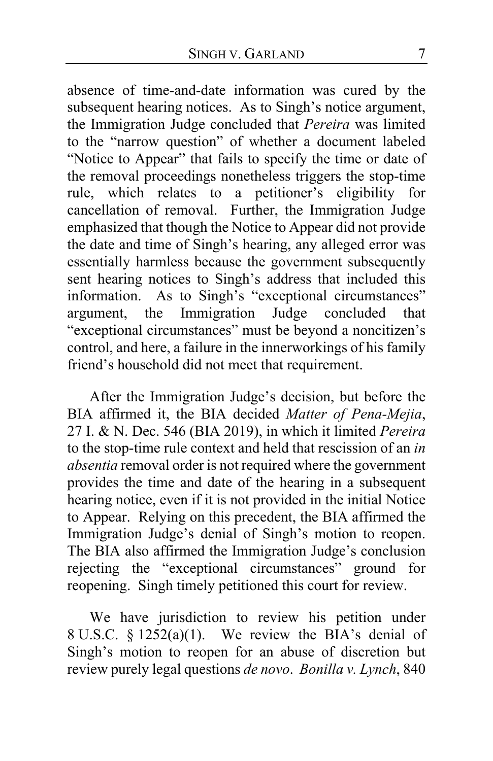absence of time-and-date information was cured by the subsequent hearing notices. As to Singh's notice argument, the Immigration Judge concluded that *Pereira* was limited to the "narrow question" of whether a document labeled "Notice to Appear" that fails to specify the time or date of the removal proceedings nonetheless triggers the stop-time rule, which relates to a petitioner's eligibility for cancellation of removal. Further, the Immigration Judge emphasized that though the Notice to Appear did not provide the date and time of Singh's hearing, any alleged error was essentially harmless because the government subsequently sent hearing notices to Singh's address that included this information. As to Singh's "exceptional circumstances" argument, the Immigration Judge concluded that "exceptional circumstances" must be beyond a noncitizen's control, and here, a failure in the innerworkings of his family friend's household did not meet that requirement.

After the Immigration Judge's decision, but before the BIA affirmed it, the BIA decided *Matter of Pena-Mejia*, 27 I. & N. Dec. 546 (BIA 2019), in which it limited *Pereira*  to the stop-time rule context and held that rescission of an *in absentia* removal order is not required where the government provides the time and date of the hearing in a subsequent hearing notice, even if it is not provided in the initial Notice to Appear. Relying on this precedent, the BIA affirmed the Immigration Judge's denial of Singh's motion to reopen. The BIA also affirmed the Immigration Judge's conclusion rejecting the "exceptional circumstances" ground for reopening. Singh timely petitioned this court for review.

We have jurisdiction to review his petition under 8 U.S.C. § 1252(a)(1). We review the BIA's denial of Singh's motion to reopen for an abuse of discretion but review purely legal questions *de novo*. *Bonilla v. Lynch*, 840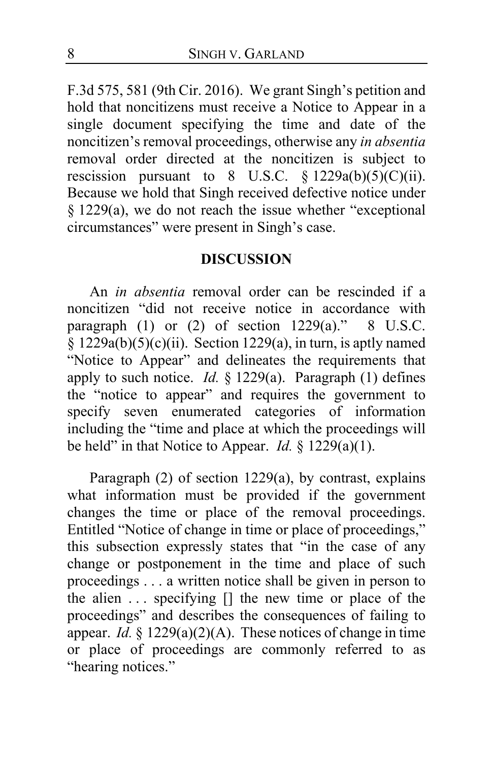F.3d 575, 581 (9th Cir. 2016). We grant Singh's petition and hold that noncitizens must receive a Notice to Appear in a single document specifying the time and date of the noncitizen's removal proceedings, otherwise any *in absentia*  removal order directed at the noncitizen is subject to rescission pursuant to  $8 \text{ U.S.C. } § 1229a(b)(5)(C)(ii).$ Because we hold that Singh received defective notice under § 1229(a), we do not reach the issue whether "exceptional circumstances" were present in Singh's case.

## **DISCUSSION**

An *in absentia* removal order can be rescinded if a noncitizen "did not receive notice in accordance with paragraph  $(1)$  or  $(2)$  of section  $1229(a)$ ." 8 U.S.C.  $§ 1229a(b)(5)(c)(ii)$ . Section 1229(a), in turn, is aptly named "Notice to Appear" and delineates the requirements that apply to such notice. *Id.* § 1229(a). Paragraph (1) defines the "notice to appear" and requires the government to specify seven enumerated categories of information including the "time and place at which the proceedings will be held" in that Notice to Appear. *Id.*  $\frac{1}{2}$  1229(a)(1).

Paragraph (2) of section 1229(a), by contrast, explains what information must be provided if the government changes the time or place of the removal proceedings. Entitled "Notice of change in time or place of proceedings," this subsection expressly states that "in the case of any change or postponement in the time and place of such proceedings . . . a written notice shall be given in person to the alien . . . specifying [] the new time or place of the proceedings" and describes the consequences of failing to appear. *Id.* § 1229(a)(2)(A). These notices of change in time or place of proceedings are commonly referred to as "hearing notices."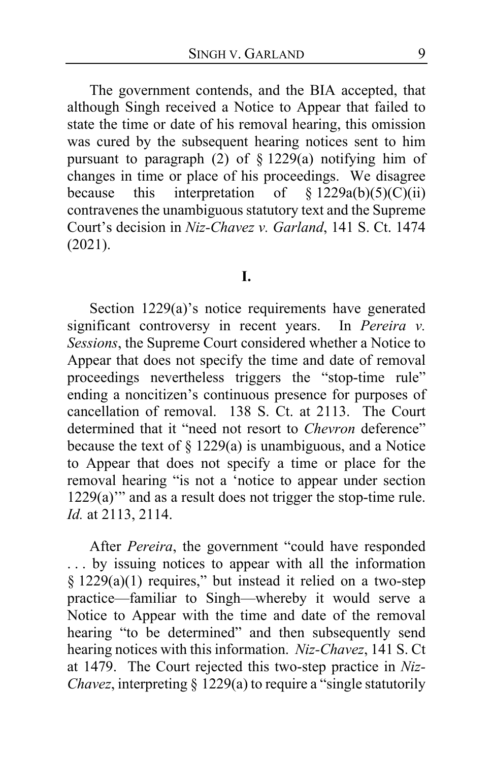The government contends, and the BIA accepted, that although Singh received a Notice to Appear that failed to state the time or date of his removal hearing, this omission was cured by the subsequent hearing notices sent to him pursuant to paragraph  $(2)$  of § 1229(a) notifying him of changes in time or place of his proceedings. We disagree because this interpretation of  $\S$  1229a(b)(5)(C)(ii) contravenes the unambiguous statutory text and the Supreme Court's decision in *Niz-Chavez v. Garland*, 141 S. Ct. 1474 (2021).

#### **I.**

Section 1229(a)'s notice requirements have generated significant controversy in recent years. In *Pereira v. Sessions*, the Supreme Court considered whether a Notice to Appear that does not specify the time and date of removal proceedings nevertheless triggers the "stop-time rule" ending a noncitizen's continuous presence for purposes of cancellation of removal. 138 S. Ct. at 2113. The Court determined that it "need not resort to *Chevron* deference" because the text of  $\S 1229(a)$  is unambiguous, and a Notice to Appear that does not specify a time or place for the removal hearing "is not a 'notice to appear under section 1229(a)'" and as a result does not trigger the stop-time rule. *Id.* at 2113, 2114.

After *Pereira*, the government "could have responded . . . by issuing notices to appear with all the information  $§ 1229(a)(1)$  requires," but instead it relied on a two-step practice—familiar to Singh—whereby it would serve a Notice to Appear with the time and date of the removal hearing "to be determined" and then subsequently send hearing notices with this information. *Niz-Chavez*, 141 S. Ct at 1479. The Court rejected this two-step practice in *Niz-Chavez*, interpreting § 1229(a) to require a "single statutorily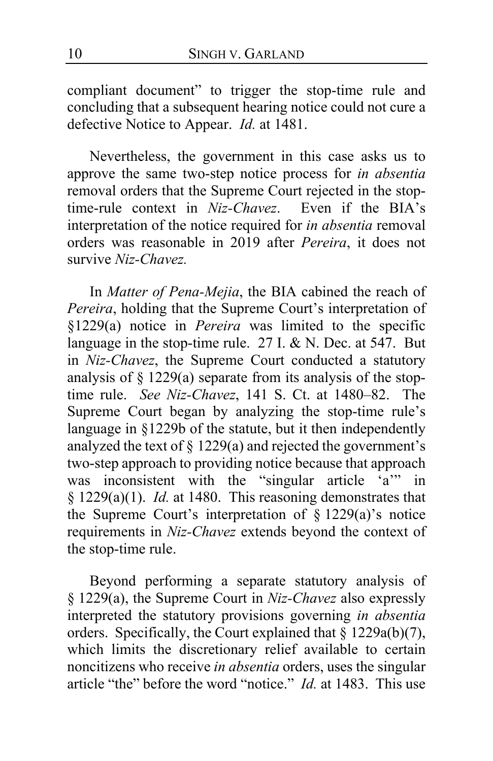compliant document" to trigger the stop-time rule and concluding that a subsequent hearing notice could not cure a defective Notice to Appear. *Id.* at 1481.

Nevertheless, the government in this case asks us to approve the same two-step notice process for *in absentia*  removal orders that the Supreme Court rejected in the stoptime-rule context in *Niz-Chavez*. Even if the BIA's interpretation of the notice required for *in absentia* removal orders was reasonable in 2019 after *Pereira*, it does not survive *Niz-Chavez.*

In *Matter of Pena-Mejia*, the BIA cabined the reach of *Pereira*, holding that the Supreme Court's interpretation of §1229(a) notice in *Pereira* was limited to the specific language in the stop-time rule. 27 I. & N. Dec. at 547. But in *Niz-Chavez*, the Supreme Court conducted a statutory analysis of § 1229(a) separate from its analysis of the stoptime rule. *See Niz-Chavez*, 141 S. Ct. at 1480–82. The Supreme Court began by analyzing the stop-time rule's language in §1229b of the statute, but it then independently analyzed the text of § 1229(a) and rejected the government's two-step approach to providing notice because that approach was inconsistent with the "singular article 'a'" in § 1229(a)(1). *Id.* at 1480. This reasoning demonstrates that the Supreme Court's interpretation of  $\S$  1229(a)'s notice requirements in *Niz-Chavez* extends beyond the context of the stop-time rule.

Beyond performing a separate statutory analysis of § 1229(a), the Supreme Court in *Niz-Chavez* also expressly interpreted the statutory provisions governing *in absentia*  orders. Specifically, the Court explained that  $\S 1229a(b)(7)$ , which limits the discretionary relief available to certain noncitizens who receive *in absentia* orders, uses the singular article "the" before the word "notice." *Id.* at 1483. This use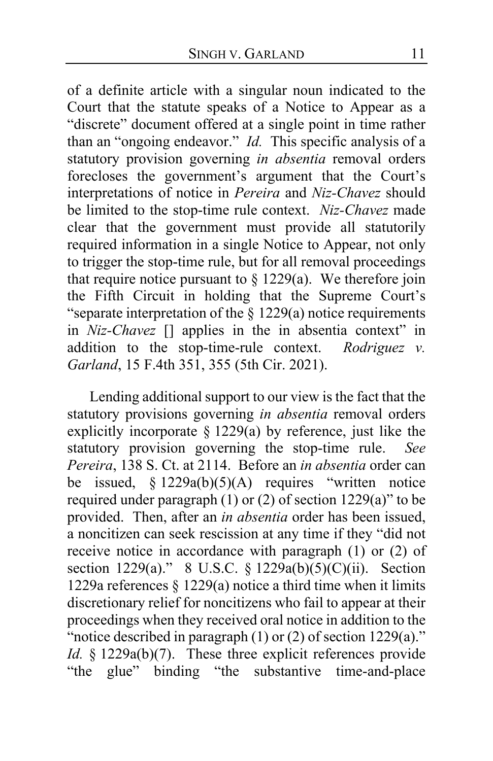of a definite article with a singular noun indicated to the Court that the statute speaks of a Notice to Appear as a "discrete" document offered at a single point in time rather than an "ongoing endeavor." *Id.* This specific analysis of a statutory provision governing *in absentia* removal orders forecloses the government's argument that the Court's interpretations of notice in *Pereira* and *Niz-Chavez* should be limited to the stop-time rule context. *Niz-Chavez* made clear that the government must provide all statutorily required information in a single Notice to Appear, not only to trigger the stop-time rule, but for all removal proceedings that require notice pursuant to  $\S 1229(a)$ . We therefore join the Fifth Circuit in holding that the Supreme Court's "separate interpretation of the § 1229(a) notice requirements in *Niz-Chavez* [] applies in the in absentia context" in addition to the stop-time-rule context. *Rodriguez v. Garland*, 15 F.4th 351, 355 (5th Cir. 2021).

Lending additional support to our view is the fact that the statutory provisions governing *in absentia* removal orders explicitly incorporate § 1229(a) by reference, just like the statutory provision governing the stop-time rule. *See Pereira*, 138 S. Ct. at 2114. Before an *in absentia* order can be issued,  $§ 1229a(b)(5)(A)$  requires "written notice required under paragraph  $(1)$  or  $(2)$  of section 1229(a)" to be provided. Then, after an *in absentia* order has been issued, a noncitizen can seek rescission at any time if they "did not receive notice in accordance with paragraph (1) or (2) of section 1229(a)." 8 U.S.C. § 1229a(b)(5)(C)(ii). Section 1229a references § 1229(a) notice a third time when it limits discretionary relief for noncitizens who fail to appear at their proceedings when they received oral notice in addition to the "notice described in paragraph (1) or (2) of section 1229(a)." *Id.* § 1229a(b)(7). These three explicit references provide "the glue" binding "the substantive time-and-place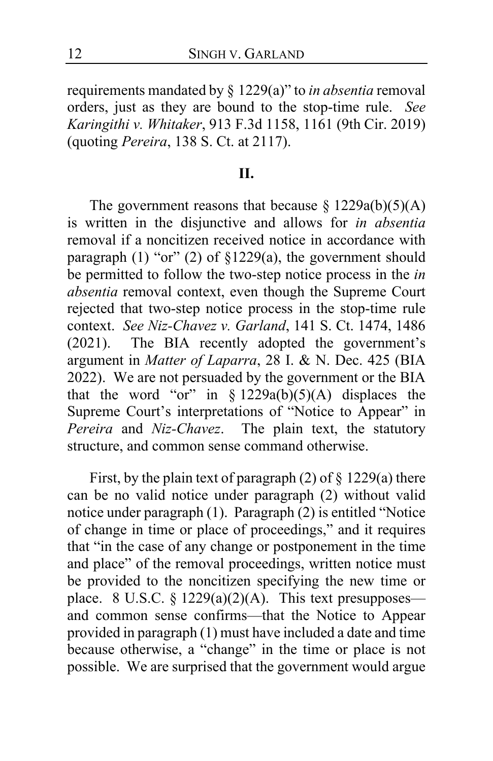requirements mandated by § 1229(a)" to *in absentia* removal orders, just as they are bound to the stop-time rule. *See Karingithi v. Whitaker*, 913 F.3d 1158, 1161 (9th Cir. 2019) (quoting *Pereira*, 138 S. Ct. at 2117).

## **II.**

The government reasons that because  $\S 1229a(b)(5)(A)$ is written in the disjunctive and allows for *in absentia*  removal if a noncitizen received notice in accordance with paragraph (1) "or" (2) of §1229(a), the government should be permitted to follow the two-step notice process in the *in absentia* removal context, even though the Supreme Court rejected that two-step notice process in the stop-time rule context. *See Niz-Chavez v. Garland*, 141 S. Ct. 1474, 1486 (2021). The BIA recently adopted the government's argument in *Matter of Laparra*, 28 I. & N. Dec. 425 (BIA 2022). We are not persuaded by the government or the BIA that the word "or" in  $\S 1229a(b)(5)(A)$  displaces the Supreme Court's interpretations of "Notice to Appear" in *Pereira* and *Niz-Chavez*. The plain text, the statutory structure, and common sense command otherwise.

First, by the plain text of paragraph  $(2)$  of  $\S 1229(a)$  there can be no valid notice under paragraph (2) without valid notice under paragraph (1). Paragraph (2) is entitled "Notice of change in time or place of proceedings," and it requires that "in the case of any change or postponement in the time and place" of the removal proceedings, written notice must be provided to the noncitizen specifying the new time or place. 8 U.S.C.  $\S 1229(a)(2)(A)$ . This text presupposes and common sense confirms—that the Notice to Appear provided in paragraph (1) must have included a date and time because otherwise, a "change" in the time or place is not possible. We are surprised that the government would argue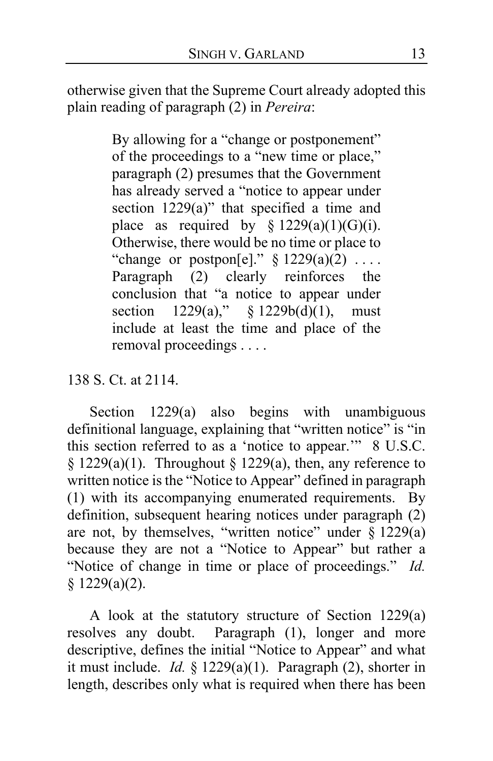otherwise given that the Supreme Court already adopted this plain reading of paragraph (2) in *Pereira*:

> By allowing for a "change or postponement" of the proceedings to a "new time or place," paragraph (2) presumes that the Government has already served a "notice to appear under section 1229(a)" that specified a time and place as required by  $\S 1229(a)(1)(G)(i)$ . Otherwise, there would be no time or place to "change or postpon[e]."  $\S$  1229(a)(2) ... Paragraph (2) clearly reinforces the conclusion that "a notice to appear under section 1229(a)," § 1229b(d)(1), must include at least the time and place of the removal proceedings . . . .

## 138 S. Ct. at 2114.

Section 1229(a) also begins with unambiguous definitional language, explaining that "written notice" is "in this section referred to as a 'notice to appear.'" 8 U.S.C. § 1229(a)(1). Throughout § 1229(a), then, any reference to written notice is the "Notice to Appear" defined in paragraph (1) with its accompanying enumerated requirements. By definition, subsequent hearing notices under paragraph (2) are not, by themselves, "written notice" under  $\S 1229(a)$ because they are not a "Notice to Appear" but rather a "Notice of change in time or place of proceedings." *Id.* § 1229(a)(2).

A look at the statutory structure of Section 1229(a) resolves any doubt. Paragraph (1), longer and more descriptive, defines the initial "Notice to Appear" and what it must include. *Id.* § 1229(a)(1). Paragraph (2), shorter in length, describes only what is required when there has been